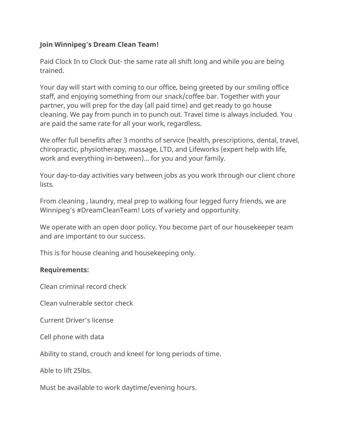## **Join Winnipeg's Dream Clean Team!**

Paid Clock In to Clock Out- the same rate all shift long and while you are being trained.

Your day will start with coming to our office, being greeted by our smiling office staff, and enjoying something from our snack/coffee bar. Together with your partner, you will prep for the day (all paid time) and get ready to go house cleaning. We pay from punch in to punch out. Travel time is always included. You are paid the same rate for all your work, regardless.

We offer full benefits after 3 months of service (health, prescriptions, dental, travel, chiropractic, physiotherapy, massage, LTD, and Lifeworks (expert help with life, work and everything in-between)… for you and your family.

Your day-to-day activities vary between jobs as you work through our client chore lists.

From cleaning , laundry, meal prep to walking four legged furry friends, we are Winnipeg's #DreamCleanTeam! Lots of variety and opportunity.

We operate with an open door policy. You become part of our housekeeper team and are important to our success.

This is for house cleaning and housekeeping only.

## **Requirements:**

Clean criminal record check

Clean vulnerable sector check

Current Driver's license

Cell phone with data

Ability to stand, crouch and kneel for long periods of time.

Able to lift 25lbs.

Must be available to work daytime/evening hours.